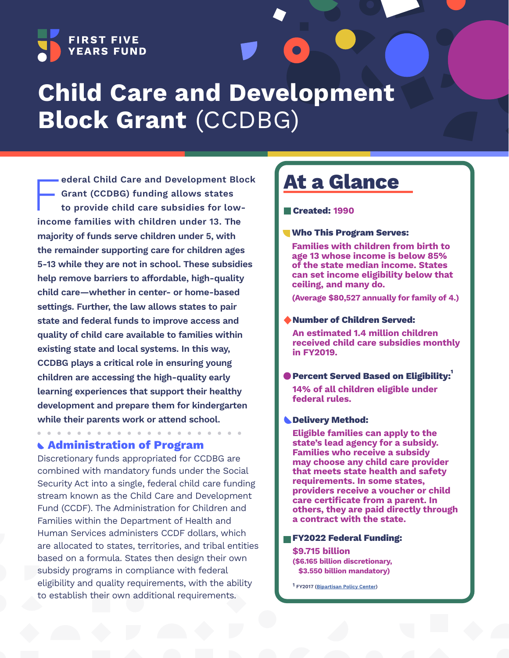

# **Child Care and Development Block Grant** (CCDBG)

**ederal Child Care and Development Blo**<br> **Grant (CCDBG) funding allows states<br>
to provide child care subsidies for low-<br>
income families with children under 13. The ederal Child Care and Development Block Grant (CCDBG) funding allows states to provide child care subsidies for lowmajority of funds serve children under 5, with the remainder supporting care for children ages 5-13 while they are not in school. These subsidies help remove barriers to affordable, high-quality child care—whether in center- or home-based settings. Further, the law allows states to pair state and federal funds to improve access and quality of child care available to families within existing state and local systems. In this way, CCDBG plays a critical role in ensuring young children are accessing the high-quality early learning experiences that support their healthy development and prepare them for kindergarten while their parents work or attend school.**

### **Administration of Program**

Discretionary funds appropriated for CCDBG are combined with mandatory funds under the Social Security Act into a single, federal child care funding stream known as the Child Care and Development Fund (CCDF). The Administration for Children and Families within the Department of Health and Human Services administers CCDF dollars, which are allocated to states, territories, and tribal entities based on a formula. States then design their own subsidy programs in compliance with federal eligibility and quality requirements, with the ability to establish their own additional requirements.

# **At a Glance**

#### **Created: 1990**

**Who This Program Serves:**

**Families with children from birth to age 13 whose income is below 85% of the state median income. States can set income eligibility below that ceiling, and many do.**

**(Average \$80,527 annually for family of 4.)**

#### **Number of Children Served:**

**An estimated 1.4 million children received child care subsidies monthly in FY2019.** 

#### **Percent Served Based on Eligibility:**

**14% of all children eligible under federal rules.**

#### **Delivery Method:**

**Eligible families can apply to the state's lead agency for a subsidy. Families who receive a subsidy may choose any child care provider that meets state health and safety requirements. In some states, providers receive a voucher or child care certificate from a parent. In others, they are paid directly through a contract with the state.**

#### **FY2022 Federal Funding:**

**\$9.715 billion (\$6.165 billion discretionary, \$3.550 billion mandatory)**

**1 FY2017 [\(Bipartisan Policy Center](https://bipartisanpolicy.org/download/?file=/wp-content/uploads/2021/04/BPC-Child-Care-Toolkit.April-2021.pdf))**